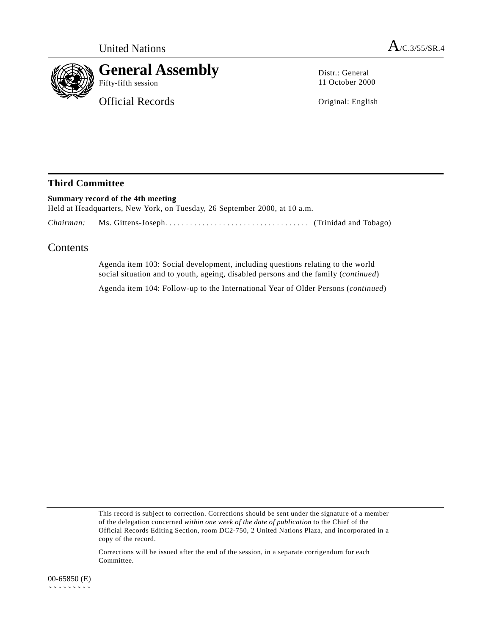

Distr.: General 11 October 2000

Original: English

## **Third Committee**

**Summary record of the 4th meeting** Held at Headquarters, New York, on Tuesday, 26 September 2000, at 10 a.m. *Chairman:* Ms. Gittens-Joseph................................... (Trinidad and Tobago)

## **Contents**

Agenda item 103: Social development, including questions relating to the world social situation and to youth, ageing, disabled persons and the family (*continued*)

Agenda item 104: Follow-up to the International Year of Older Persons (*continued*)

This record is subject to correction. Corrections should be sent under the signature of a member of the delegation concerned *within one week of the date of publication* to the Chief of the Official Records Editing Section, room DC2-750, 2 United Nations Plaza, and incorporated in a copy of the record.

Corrections will be issued after the end of the session, in a separate corrigendum for each Committee.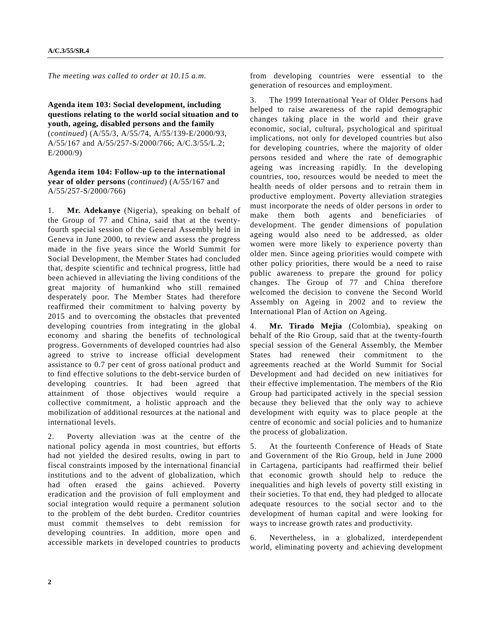*The meeting was called to order at 10.15 a.m.*

**Agenda item 103: Social development, including questions relating to the world social situation and to youth, ageing, disabled persons and the family** (*continued*) (A/55/3, A/55/74, A/55/139-E/2000/93, A/55/167 and A/55/257-S/2000/766; A/C.3/55/L.2; E/2000/9)

**Agenda item 104: Follow-up to the international year of older persons** (*continued*) (A/55/167 and A/55/257-S/2000/766)

1. **Mr. Adekanye** (Nigeria), speaking on behalf of the Group of 77 and China, said that at the twentyfourth special session of the General Assembly held in Geneva in June 2000, to review and assess the progress made in the five years since the World Summit for Social Development, the Member States had concluded that, despite scientific and technical progress, little had been achieved in alleviating the living conditions of the great majority of humankind who still remained desperately poor. The Member States had therefore reaffirmed their commitment to halving poverty by 2015 and to overcoming the obstacles that prevented developing countries from integrating in the global economy and sharing the benefits of technological progress. Governments of developed countries had also agreed to strive to increase official development assistance to 0.7 per cent of gross national product and to find effective solutions to the debt-service burden of developing countries. It had been agreed that attainment of those objectives would require a collective commitment, a holistic approach and the mobilization of additional resources at the national and international levels.

2. Poverty alleviation was at the centre of the national policy agenda in most countries, but efforts had not yielded the desired results, owing in part to fiscal constraints imposed by the international financial institutions and to the advent of globalization, which had often erased the gains achieved. Poverty eradication and the provision of full employment and social integration would require a permanent solution to the problem of the debt burden. Creditor countries must commit themselves to debt remission for developing countries. In addition, more open and accessible markets in developed countries to products from developing countries were essential to the generation of resources and employment.

3. The 1999 International Year of Older Persons had helped to raise awareness of the rapid demographic changes taking place in the world and their grave economic, social, cultural, psychological and spiritual implications, not only for developed countries but also for developing countries, where the majority of older persons resided and where the rate of demographic ageing was increasing rapidly. In the developing countries, too, resources would be needed to meet the health needs of older persons and to retrain them in productive employment. Poverty alleviation strategies must incorporate the needs of older persons in order to make them both agents and beneficiaries of development. The gender dimensions of population ageing would also need to be addressed, as older women were more likely to experience poverty than older men. Since ageing priorities would compete with other policy priorities, there would be a need to raise public awareness to prepare the ground for policy changes. The Group of 77 and China therefore welcomed the decision to convene the Second World Assembly on Ageing in 2002 and to review the International Plan of Action on Ageing.

4. **Mr. Tirado Mejía** (Colombia), speaking on behalf of the Rio Group, said that at the twenty-fourth special session of the General Assembly, the Member States had renewed their commitment to the agreements reached at the World Summit for Social Development and had decided on new initiatives for their effective implementation. The members of the Rio Group had participated actively in the special session because they believed that the only way to achieve development with equity was to place people at the centre of economic and social policies and to humanize the process of globalization.

5. At the fourteenth Conference of Heads of State and Government of the Rio Group, held in June 2000 in Cartagena, participants had reaffirmed their belief that economic growth should help to reduce the inequalities and high levels of poverty still existing in their societies. To that end, they had pledged to allocate adequate resources to the social sector and to the development of human capital and were looking for ways to increase growth rates and productivity.

6. Nevertheless, in a globalized, interdependent world, eliminating poverty and achieving development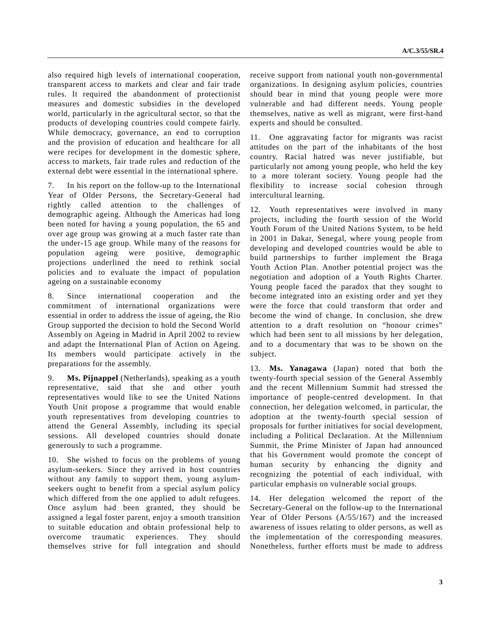also required high levels of international cooperation, transparent access to markets and clear and fair trade rules. It required the abandonment of protectionist measures and domestic subsidies in the developed world, particularly in the agricultural sector, so that the products of developing countries could compete fairly. While democracy, governance, an end to corruption and the provision of education and healthcare for all were recipes for development in the domestic sphere, access to markets, fair trade rules and reduction of the external debt were essential in the international sphere.

7. In his report on the follow-up to the International Year of Older Persons, the Secretary-General had rightly called attention to the challenges demographic ageing. Although the Americas had long been noted for having a young population, the 65 and over age group was growing at a much faster rate than the under-15 age group. While many of the reasons for population ageing were positive, demographic projections underlined the need to rethink social policies and to evaluate the impact of population ageing on a sustainable economy

8. Since international cooperation and the commitment of international organizations were essential in order to address the issue of ageing, the Rio Group supported the decision to hold the Second World Assembly on Ageing in Madrid in April 2002 to review and adapt the International Plan of Action on Ageing. Its members would participate actively in the preparations for the assembly.

9. **Ms. Pijnappel** (Netherlands), speaking as a youth representative, said that she and other youth representatives would like to see the United Nations Youth Unit propose a programme that would enable youth representatives from developing countries to attend the General Assembly, including its special sessions. All developed countries should donate generously to such a programme.

10. She wished to focus on the problems of young asylum-seekers. Since they arrived in host countries without any family to support them, young asylumseekers ought to benefit from a special asylum policy which differed from the one applied to adult refugees. Once asylum had been granted, they should be assigned a legal foster parent, enjoy a smooth transition to suitable education and obtain professional help to overcome traumatic experiences. They should themselves strive for full integration and should receive support from national youth non-governmental organizations. In designing asylum policies, countries should bear in mind that young people were more vulnerable and had different needs. Young people themselves, native as well as migrant, were first-hand experts and should be consulted.

11. One aggravating factor for migrants was racist attitudes on the part of the inhabitants of the host country. Racial hatred was never justifiable, but particularly not among young people, who held the key to a more tolerant society. Young people had the flexibility to increase social cohesion through intercultural learning.

12. Youth representatives were involved in many projects, including the fourth session of the World Youth Forum of the United Nations System, to be held in 2001 in Dakar, Senegal, where young people from developing and developed countries would be able to build partnerships to further implement the Braga Youth Action Plan. Another potential project was the negotiation and adoption of a Youth Rights Charter. Young people faced the paradox that they sought to become integrated into an existing order and yet they were the force that could transform that order and become the wind of change. In conclusion, she drew attention to a draft resolution on "honour crimes" which had been sent to all missions by her delegation, and to a documentary that was to be shown on the subject.

13. **Ms. Yanagawa** (Japan) noted that both the twenty-fourth special session of the General Assembly and the recent Millennium Summit had stressed the importance of people-centred development. In that connection, her delegation welcomed, in particular, the adoption at the twenty-fourth special session of proposals for further initiatives for social development, including a Political Declaration. At the Millennium Summit, the Prime Minister of Japan had announced that his Government would promote the concept of human security by enhancing the dignity and recognizing the potential of each individual, with particular emphasis on vulnerable social groups.

14. Her delegation welcomed the report of the Secretary-General on the follow-up to the International Year of Older Persons (A/55/167) and the increased awareness of issues relating to older persons, as well as the implementation of the corresponding measures. Nonetheless, further efforts must be made to address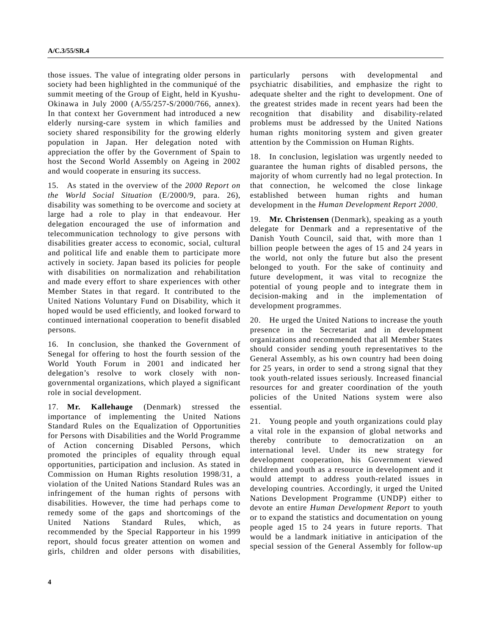those issues. The value of integrating older persons in society had been highlighted in the communiqué of the summit meeting of the Group of Eight, held in Kyushu-Okinawa in July 2000 (A/55/257-S/2000/766, annex). In that context her Government had introduced a new elderly nursing-care system in which families and society shared responsibility for the growing elderly population in Japan. Her delegation noted with appreciation the offer by the Government of Spain to host the Second World Assembly on Ageing in 2002 and would cooperate in ensuring its success.

15. As stated in the overview of the *2000 Report on the World Social Situation* (E/2000/9, para. 26), disability was something to be overcome and society at large had a role to play in that endeavour. Her delegation encouraged the use of information and telecommunication technology to give persons with disabilities greater access to economic, social, cultural and political life and enable them to participate more actively in society. Japan based its policies for people with disabilities on normalization and rehabilitation and made every effort to share experiences with other Member States in that regard. It contributed to the United Nations Voluntary Fund on Disability, which it hoped would be used efficiently, and looked forward to continued international cooperation to benefit disabled persons.

16. In conclusion, she thanked the Government of Senegal for offering to host the fourth session of the World Youth Forum in 2001 and indicated her delegation's resolve to work closely with nongovernmental organizations, which played a significant role in social development.

17. **Mr. Kallehauge** (Denmark) stressed the importance of implementing the United Nations Standard Rules on the Equalization of Opportunities for Persons with Disabilities and the World Programme of Action concerning Disabled Persons, which promoted the principles of equality through equal opportunities, participation and inclusion. As stated in Commission on Human Rights resolution 1998/31, a violation of the United Nations Standard Rules was an infringement of the human rights of persons with disabilities. However, the time had perhaps come to remedy some of the gaps and shortcomings of the United Nations Standard Rules, which, recommended by the Special Rapporteur in his 1999 report, should focus greater attention on women and girls, children and older persons with disabilities,

particularly persons with developmental and psychiatric disabilities, and emphasize the right to adequate shelter and the right to development. One of the greatest strides made in recent years had been the recognition that disability and disability-related problems must be addressed by the United Nations human rights monitoring system and given greater attention by the Commission on Human Rights.

18. In conclusion, legislation was urgently needed to guarantee the human rights of disabled persons, the majority of whom currently had no legal protection. In that connection, he welcomed the close linkage established between human rights and human development in the *Human Development Report 2000*.

19. **Mr. Christensen** (Denmark), speaking as a youth delegate for Denmark and a representative of the Danish Youth Council, said that, with more than 1 billion people between the ages of 15 and 24 years in the world, not only the future but also the present belonged to youth. For the sake of continuity and future development, it was vital to recognize the potential of young people and to integrate them in decision-making and in the implementation of development programmes.

20. He urged the United Nations to increase the youth presence in the Secretariat and in development organizations and recommended that all Member States should consider sending youth representatives to the General Assembly, as his own country had been doing for 25 years, in order to send a strong signal that they took youth-related issues seriously. Increased financial resources for and greater coordination of the youth policies of the United Nations system were also essential.

21. Young people and youth organizations could play a vital role in the expansion of global networks and thereby contribute to democratization on an international level. Under its new strategy for development cooperation, his Government viewed children and youth as a resource in development and it would attempt to address youth-related issues in developing countries. Accordingly, it urged the United Nations Development Programme (UNDP) either to devote an entire *Human Development Report* to youth or to expand the statistics and documentation on young people aged 15 to 24 years in future reports. That would be a landmark initiative in anticipation of the special session of the General Assembly for follow-up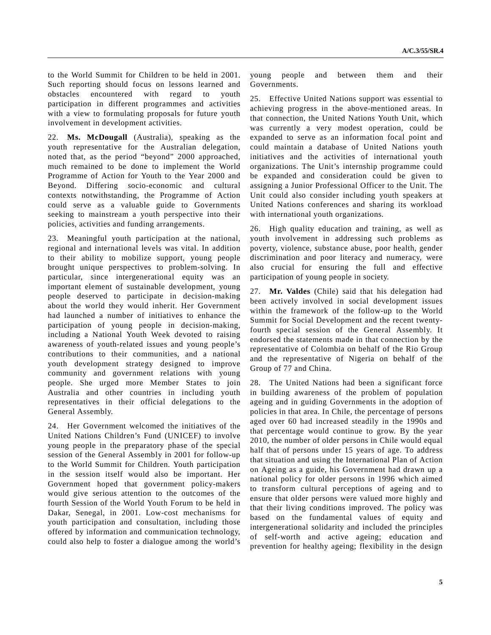to the World Summit for Children to be held in 2001. Such reporting should focus on lessons learned and obstacles encountered with regard to youth participation in different programmes and activities with a view to formulating proposals for future youth involvement in development activities.

22. **Ms. McDougall** (Australia), speaking as the youth representative for the Australian delegation, noted that, as the period "beyond" 2000 approached, much remained to be done to implement the World Programme of Action for Youth to the Year 2000 and Beyond. Differing socio-economic and cultural contexts notwithstanding, the Programme of Action could serve as a valuable guide to Governments seeking to mainstream a youth perspective into their policies, activities and funding arrangements.

23. Meaningful youth participation at the national, regional and international levels was vital. In addition to their ability to mobilize support, young people brought unique perspectives to problem-solving. In particular, since intergenerational equity was an important element of sustainable development, young people deserved to participate in decision-making about the world they would inherit. Her Government had launched a number of initiatives to enhance the participation of young people in decision-making, including a National Youth Week devoted to raising awareness of youth-related issues and young people's contributions to their communities, and a national youth development strategy designed to improve community and government relations with young people. She urged more Member States to join Australia and other countries in including youth representatives in their official delegations to the General Assembly.

24. Her Government welcomed the initiatives of the United Nations Children's Fund (UNICEF) to involve young people in the preparatory phase of the special session of the General Assembly in 2001 for follow-up to the World Summit for Children. Youth participation in the session itself would also be important. Her Government hoped that government policy-makers would give serious attention to the outcomes of the fourth Session of the World Youth Forum to be held in Dakar, Senegal, in 2001. Low-cost mechanisms for youth participation and consultation, including those offered by information and communication technology, could also help to foster a dialogue among the world's

young people and between them and their Governments.

25. Effective United Nations support was essential to achieving progress in the above-mentioned areas. In that connection, the United Nations Youth Unit, which was currently a very modest operation, could be expanded to serve as an information focal point and could maintain a database of United Nations youth initiatives and the activities of international youth organizations. The Unit's internship programme could be expanded and consideration could be given to assigning a Junior Professional Officer to the Unit. The Unit could also consider including youth speakers at United Nations conferences and sharing its workload with international youth organizations.

26. High quality education and training, as well as youth involvement in addressing such problems as poverty, violence, substance abuse, poor health, gender discrimination and poor literacy and numeracy, were also crucial for ensuring the full and effective participation of young people in society.

27. **Mr. Valdes** (Chile) said that his delegation had been actively involved in social development issues within the framework of the follow-up to the World Summit for Social Development and the recent twentyfourth special session of the General Assembly. It endorsed the statements made in that connection by the representative of Colombia on behalf of the Rio Group and the representative of Nigeria on behalf of the Group of 77 and China.

28. The United Nations had been a significant force in building awareness of the problem of population ageing and in guiding Governments in the adoption of policies in that area. In Chile, the percentage of persons aged over 60 had increased steadily in the 1990s and that percentage would continue to grow. By the year 2010, the number of older persons in Chile would equal half that of persons under 15 years of age. To address that situation and using the International Plan of Action on Ageing as a guide, his Government had drawn up a national policy for older persons in 1996 which aimed to transform cultural perceptions of ageing and to ensure that older persons were valued more highly and that their living conditions improved. The policy was based on the fundamental values of equity and intergenerational solidarity and included the principles of self-worth and active ageing; education and prevention for healthy ageing; flexibility in the design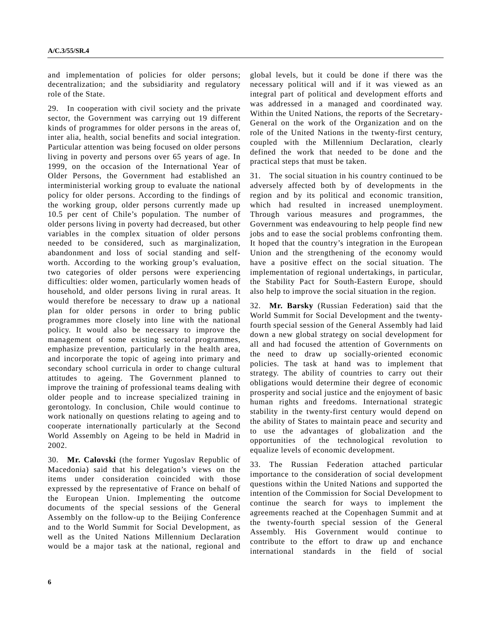and implementation of policies for older persons; decentralization; and the subsidiarity and regulatory role of the State.

29. In cooperation with civil society and the private sector, the Government was carrying out 19 different kinds of programmes for older persons in the areas of, inter alia, health, social benefits and social integration. Particular attention was being focused on older persons living in poverty and persons over 65 years of age. In 1999, on the occasion of the International Year of Older Persons, the Government had established an interministerial working group to evaluate the national policy for older persons. According to the findings of the working group, older persons currently made up 10.5 per cent of Chile's population. The number of older persons living in poverty had decreased, but other variables in the complex situation of older persons needed to be considered, such as marginalization, abandonment and loss of social standing and selfworth. According to the working group's evaluation, two categories of older persons were experiencing difficulties: older women, particularly women heads of household, and older persons living in rural areas. It would therefore be necessary to draw up a national plan for older persons in order to bring public programmes more closely into line with the national policy. It would also be necessary to improve the management of some existing sectoral programmes, emphasize prevention, particularly in the health area, and incorporate the topic of ageing into primary and secondary school curricula in order to change cultural attitudes to ageing. The Government planned to improve the training of professional teams dealing with older people and to increase specialized training in gerontology. In conclusion, Chile would continue to work nationally on questions relating to ageing and to cooperate internationally particularly at the Second World Assembly on Ageing to be held in Madrid in 2002.

30. **Mr. Calovski** (the former Yugoslav Republic of Macedonia) said that his delegation's views on the items under consideration coincided with those expressed by the representative of France on behalf of the European Union. Implementing the outcome documents of the special sessions of the General Assembly on the follow-up to the Beijing Conference and to the World Summit for Social Development, as well as the United Nations Millennium Declaration would be a major task at the national, regional and

global levels, but it could be done if there was the necessary political will and if it was viewed as an integral part of political and development efforts and was addressed in a managed and coordinated way. Within the United Nations, the reports of the Secretary-General on the work of the Organization and on the role of the United Nations in the twenty-first century, coupled with the Millennium Declaration, clearly defined the work that needed to be done and the practical steps that must be taken.

31. The social situation in his country continued to be adversely affected both by of developments in the region and by its political and economic transition, which had resulted in increased unemployment. Through various measures and programmes, the Government was endeavouring to help people find new jobs and to ease the social problems confronting them. It hoped that the country's integration in the European Union and the strengthening of the economy would have a positive effect on the social situation. The implementation of regional undertakings, in particular, the Stability Pact for South-Eastern Europe, should also help to improve the social situation in the region.

32. **Mr. Barsky** (Russian Federation) said that the World Summit for Social Development and the twentyfourth special session of the General Assembly had laid down a new global strategy on social development for all and had focused the attention of Governments on the need to draw up socially-oriented economic policies. The task at hand was to implement that strategy. The ability of countries to carry out their obligations would determine their degree of economic prosperity and social justice and the enjoyment of basic human rights and freedoms. International strategic stability in the twenty-first century would depend on the ability of States to maintain peace and security and to use the advantages of globalization and the opportunities of the technological revolution to equalize levels of economic development.

33. The Russian Federation attached particular importance to the consideration of social development questions within the United Nations and supported the intention of the Commission for Social Development to continue the search for ways to implement the agreements reached at the Copenhagen Summit and at the twenty-fourth special session of the General Assembly. His Government would continue to contribute to the effort to draw up and enchance international standards in the field of social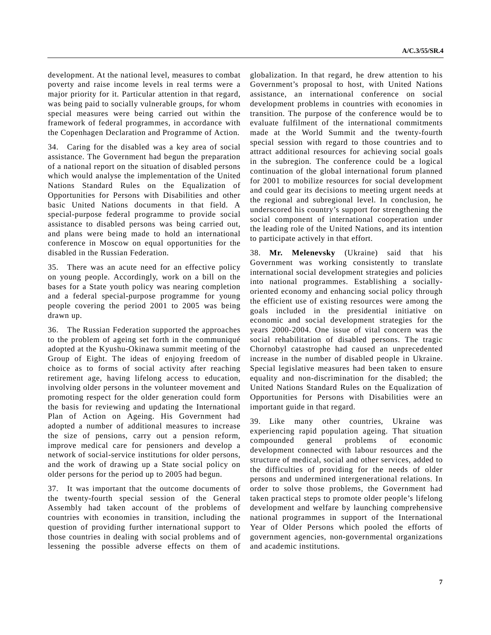development. At the national level, measures to combat poverty and raise income levels in real terms were a major priority for it. Particular attention in that regard, was being paid to socially vulnerable groups, for whom special measures were being carried out within the framework of federal programmes, in accordance with the Copenhagen Declaration and Programme of Action.

34. Caring for the disabled was a key area of social assistance. The Government had begun the preparation of a national report on the situation of disabled persons which would analyse the implementation of the United Nations Standard Rules on the Equalization of Opportunities for Persons with Disabilities and other basic United Nations documents in that field. A special-purpose federal programme to provide social assistance to disabled persons was being carried out, and plans were being made to hold an international conference in Moscow on equal opportunities for the disabled in the Russian Federation.

35. There was an acute need for an effective policy on young people. Accordingly, work on a bill on the bases for a State youth policy was nearing completion and a federal special-purpose programme for young people covering the period 2001 to 2005 was being drawn up.

36. The Russian Federation supported the approaches to the problem of ageing set forth in the communiqué adopted at the Kyushu-Okinawa summit meeting of the Group of Eight. The ideas of enjoying freedom of choice as to forms of social activity after reaching retirement age, having lifelong access to education, involving older persons in the volunteer movement and promoting respect for the older generation could form the basis for reviewing and updating the International Plan of Action on Ageing. His Government had adopted a number of additional measures to increase the size of pensions, carry out a pension reform, improve medical care for pensioners and develop a network of social-service institutions for older persons, and the work of drawing up a State social policy on older persons for the period up to 2005 had begun.

37. It was important that the outcome documents of the twenty-fourth special session of the General Assembly had taken account of the problems of countries with economies in transition, including the question of providing further international support to those countries in dealing with social problems and of lessening the possible adverse effects on them of globalization. In that regard, he drew attention to his Government's proposal to host, with United Nations assistance, an international conference on social development problems in countries with economies in transition. The purpose of the conference would be to evaluate fulfilment of the international commitments made at the World Summit and the twenty-fourth special session with regard to those countries and to attract additional resources for achieving social goals in the subregion. The conference could be a logical continuation of the global international forum planned for 2001 to mobilize resources for social development and could gear its decisions to meeting urgent needs at the regional and subregional level. In conclusion, he underscored his country's support for strengthening the social component of international cooperation under the leading role of the United Nations, and its intention to participate actively in that effort.

38. **Mr. Melenevsky** (Ukraine) said that his Government was working consistently to translate international social development strategies and policies into national programmes. Establishing a sociallyoriented economy and enhancing social policy through the efficient use of existing resources were among the goals included in the presidential initiative on economic and social development strategies for the years 2000-2004. One issue of vital concern was the social rehabilitation of disabled persons. The tragic Chornobyl catastrophe had caused an unprecedented increase in the number of disabled people in Ukraine. Special legislative measures had been taken to ensure equality and non-discrimination for the disabled; the United Nations Standard Rules on the Equalization of Opportunities for Persons with Disabilities were an important guide in that regard.

39. Like many other countries, Ukraine was experiencing rapid population ageing. That situation compounded general problems of economic development connected with labour resources and the structure of medical, social and other services, added to the difficulties of providing for the needs of older persons and undermined intergenerational relations. In order to solve those problems, the Government had taken practical steps to promote older people's lifelong development and welfare by launching comprehensive national programmes in support of the International Year of Older Persons which pooled the efforts of government agencies, non-governmental organizations and academic institutions.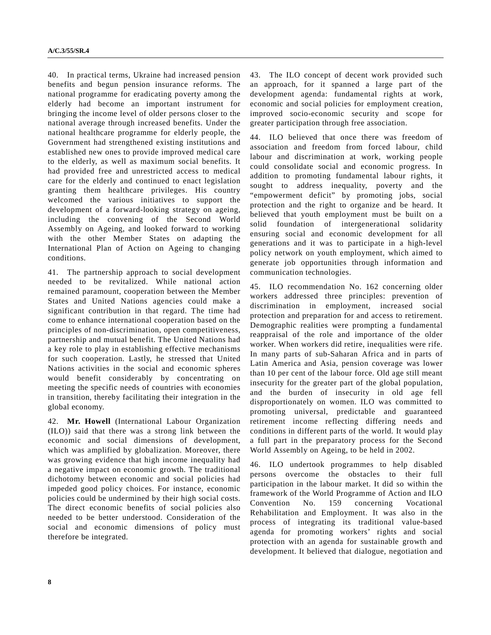40. In practical terms, Ukraine had increased pension benefits and begun pension insurance reforms. The national programme for eradicating poverty among the elderly had become an important instrument for bringing the income level of older persons closer to the national average through increased benefits. Under the national healthcare programme for elderly people, the Government had strengthened existing institutions and established new ones to provide improved medical care to the elderly, as well as maximum social benefits. It had provided free and unrestricted access to medical care for the elderly and continued to enact legislation granting them healthcare privileges. His country welcomed the various initiatives to support the development of a forward-looking strategy on ageing, including the convening of the Second World Assembly on Ageing, and looked forward to working with the other Member States on adapting the International Plan of Action on Ageing to changing conditions.

41. The partnership approach to social development needed to be revitalized. While national action remained paramount, cooperation between the Member States and United Nations agencies could make a significant contribution in that regard. The time had come to enhance international cooperation based on the principles of non-discrimination, open competitiveness, partnership and mutual benefit. The United Nations had a key role to play in establishing effective mechanisms for such cooperation. Lastly, he stressed that United Nations activities in the social and economic spheres would benefit considerably by concentrating on meeting the specific needs of countries with economies in transition, thereby facilitating their integration in the global economy.

42. **Mr. Howell** (International Labour Organization (ILO)) said that there was a strong link between the economic and social dimensions of development, which was amplified by globalization. Moreover, there was growing evidence that high income inequality had a negative impact on economic growth. The traditional dichotomy between economic and social policies had impeded good policy choices. For instance, economic policies could be undermined by their high social costs. The direct economic benefits of social policies also needed to be better understood. Consideration of the social and economic dimensions of policy must therefore be integrated.

43. The ILO concept of decent work provided such an approach, for it spanned a large part of the development agenda: fundamental rights at work, economic and social policies for employment creation, improved socio-economic security and scope for greater participation through free association.

44. ILO believed that once there was freedom of association and freedom from forced labour, child labour and discrimination at work, working people could consolidate social and economic progress. In addition to promoting fundamental labour rights, it sought to address inequality, poverty and the "empowerment deficit" by promoting jobs, social protection and the right to organize and be heard. It believed that youth employment must be built on a solid foundation of intergenerational solidarity ensuring social and economic development for all generations and it was to participate in a high-level policy network on youth employment, which aimed to generate job opportunities through information and communication technologies.

45. ILO recommendation No. 162 concerning older workers addressed three principles: prevention of discrimination in employment, increased social protection and preparation for and access to retirement. Demographic realities were prompting a fundamental reappraisal of the role and importance of the older worker. When workers did retire, inequalities were rife. In many parts of sub-Saharan Africa and in parts of Latin America and Asia, pension coverage was lower than 10 per cent of the labour force. Old age still meant insecurity for the greater part of the global population, and the burden of insecurity in old age fell disproportionately on women. ILO was committed to promoting universal, predictable and guaranteed retirement income reflecting differing needs and conditions in different parts of the world. It would play a full part in the preparatory process for the Second World Assembly on Ageing, to be held in 2002.

46. ILO undertook programmes to help disabled persons overcome the obstacles to their full participation in the labour market. It did so within the framework of the World Programme of Action and ILO Convention No. 159 concerning Vocational Rehabilitation and Employment. It was also in the process of integrating its traditional value-based agenda for promoting workers' rights and social protection with an agenda for sustainable growth and development. It believed that dialogue, negotiation and